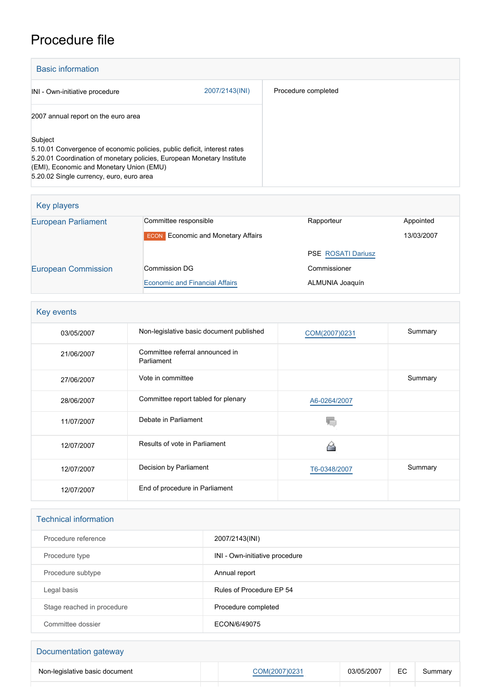# Procedure file

| <b>Basic information</b>                                                                                                                                                                                                                              |                |                     |
|-------------------------------------------------------------------------------------------------------------------------------------------------------------------------------------------------------------------------------------------------------|----------------|---------------------|
| INI - Own-initiative procedure                                                                                                                                                                                                                        | 2007/2143(INI) | Procedure completed |
| 2007 annual report on the euro area                                                                                                                                                                                                                   |                |                     |
| Subject<br>5.10.01 Convergence of economic policies, public deficit, interest rates<br>5.20.01 Coordination of monetary policies, European Monetary Institute<br>(EMI), Economic and Monetary Union (EMU)<br>5.20.02 Single currency, euro, euro area |                |                     |

| Key players                |                                           |                           |            |
|----------------------------|-------------------------------------------|---------------------------|------------|
| <b>European Parliament</b> | Committee responsible                     | Rapporteur                | Appointed  |
|                            | <b>ECON</b> Economic and Monetary Affairs |                           | 13/03/2007 |
|                            |                                           | <b>PSE ROSATI Dariusz</b> |            |
| <b>European Commission</b> | Commission DG                             | Commissioner              |            |
|                            | <b>Economic and Financial Affairs</b>     | ALMUNIA Joaquín           |            |

| Key events |                                               |               |         |  |
|------------|-----------------------------------------------|---------------|---------|--|
| 03/05/2007 | Non-legislative basic document published      | COM(2007)0231 | Summary |  |
| 21/06/2007 | Committee referral announced in<br>Parliament |               |         |  |
| 27/06/2007 | Vote in committee                             |               | Summary |  |
| 28/06/2007 | Committee report tabled for plenary           | A6-0264/2007  |         |  |
| 11/07/2007 | Debate in Parliament                          |               |         |  |
| 12/07/2007 | Results of vote in Parliament                 |               |         |  |
| 12/07/2007 | Decision by Parliament                        | T6-0348/2007  | Summary |  |
| 12/07/2007 | End of procedure in Parliament                |               |         |  |

| <b>Technical information</b> |                                |  |
|------------------------------|--------------------------------|--|
| Procedure reference          | 2007/2143(INI)                 |  |
| Procedure type               | INI - Own-initiative procedure |  |
| Procedure subtype            | Annual report                  |  |
| Legal basis                  | Rules of Procedure EP 54       |  |
| Stage reached in procedure   | Procedure completed            |  |
| Committee dossier            | ECON/6/49075                   |  |

# Documentation gateway Non-legislative basic document **[COM\(2007\)0231](http://www.europarl.europa.eu/registre/docs_autres_institutions/commission_europeenne/com/2007/0231/COM_COM(2007)0231_EN.pdf)** 03/05/2007 EC Summary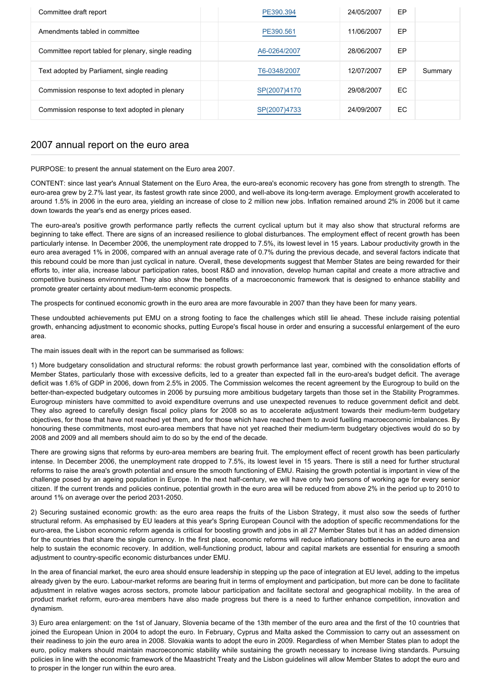| Committee draft report                              | PE390.394    | 24/05/2007 | EP  |         |
|-----------------------------------------------------|--------------|------------|-----|---------|
| Amendments tabled in committee                      | PE390.561    | 11/06/2007 | EP  |         |
| Committee report tabled for plenary, single reading | A6-0264/2007 | 28/06/2007 | EP  |         |
| Text adopted by Parliament, single reading          | T6-0348/2007 | 12/07/2007 | EP  | Summary |
| Commission response to text adopted in plenary      | SP(2007)4170 | 29/08/2007 | EC. |         |
| Commission response to text adopted in plenary      | SP(2007)4733 | 24/09/2007 | EC  |         |

## 2007 annual report on the euro area

PURPOSE: to present the annual statement on the Euro area 2007.

CONTENT: since last year's Annual Statement on the Euro Area, the euro-area's economic recovery has gone from strength to strength. The euro-area grew by 2.7% last year, its fastest growth rate since 2000, and well-above its long-term average. Employment growth accelerated to around 1.5% in 2006 in the euro area, yielding an increase of close to 2 million new jobs. Inflation remained around 2% in 2006 but it came down towards the year's end as energy prices eased.

The euro-area's positive growth performance partly reflects the current cyclical upturn but it may also show that structural reforms are beginning to take effect. There are signs of an increased resilience to global disturbances. The employment effect of recent growth has been particularly intense. In December 2006, the unemployment rate dropped to 7.5%, its lowest level in 15 years. Labour productivity growth in the euro area averaged 1% in 2006, compared with an annual average rate of 0.7% during the previous decade, and several factors indicate that this rebound could be more than just cyclical in nature. Overall, these developments suggest that Member States are being rewarded for their efforts to, inter alia, increase labour participation rates, boost R&D and innovation, develop human capital and create a more attractive and competitive business environment. They also show the benefits of a macroeconomic framework that is designed to enhance stability and promote greater certainty about medium-term economic prospects.

The prospects for continued economic growth in the euro area are more favourable in 2007 than they have been for many years.

These undoubted achievements put EMU on a strong footing to face the challenges which still lie ahead. These include raising potential growth, enhancing adjustment to economic shocks, putting Europe's fiscal house in order and ensuring a successful enlargement of the euro area.

The main issues dealt with in the report can be summarised as follows:

1) More budgetary consolidation and structural reforms: the robust growth performance last year, combined with the consolidation efforts of Member States, particularly those with excessive deficits, led to a greater than expected fall in the euro-area's budget deficit. The average deficit was 1.6% of GDP in 2006, down from 2.5% in 2005. The Commission welcomes the recent agreement by the Eurogroup to build on the better-than-expected budgetary outcomes in 2006 by pursuing more ambitious budgetary targets than those set in the Stability Programmes. Eurogroup ministers have committed to avoid expenditure overruns and use unexpected revenues to reduce government deficit and debt. They also agreed to carefully design fiscal policy plans for 2008 so as to accelerate adjustment towards their medium-term budgetary objectives, for those that have not reached yet them, and for those which have reached them to avoid fuelling macroeconomic imbalances. By honouring these commitments, most euro-area members that have not yet reached their medium-term budgetary objectives would do so by 2008 and 2009 and all members should aim to do so by the end of the decade.

There are growing signs that reforms by euro-area members are bearing fruit. The employment effect of recent growth has been particularly intense. In December 2006, the unemployment rate dropped to 7.5%, its lowest level in 15 years. There is still a need for further structural reforms to raise the area's growth potential and ensure the smooth functioning of EMU. Raising the growth potential is important in view of the challenge posed by an ageing population in Europe. In the next half-century, we will have only two persons of working age for every senior citizen. If the current trends and policies continue, potential growth in the euro area will be reduced from above 2% in the period up to 2010 to around 1% on average over the period 2031-2050.

2) Securing sustained economic growth: as the euro area reaps the fruits of the Lisbon Strategy, it must also sow the seeds of further structural reform. As emphasised by EU leaders at this year's Spring European Council with the adoption of specific recommendations for the euro-area, the Lisbon economic reform agenda is critical for boosting growth and jobs in all 27 Member States but it has an added dimension for the countries that share the single currency. In the first place, economic reforms will reduce inflationary bottlenecks in the euro area and help to sustain the economic recovery. In addition, well-functioning product, labour and capital markets are essential for ensuring a smooth adjustment to country-specific economic disturbances under EMU.

In the area of financial market, the euro area should ensure leadership in stepping up the pace of integration at EU level, adding to the impetus already given by the euro. Labour-market reforms are bearing fruit in terms of employment and participation, but more can be done to facilitate adjustment in relative wages across sectors, promote labour participation and facilitate sectoral and geographical mobility. In the area of product market reform, euro-area members have also made progress but there is a need to further enhance competition, innovation and dynamism.

3) Euro area enlargement: on the 1st of January, Slovenia became of the 13th member of the euro area and the first of the 10 countries that joined the European Union in 2004 to adopt the euro. In February, Cyprus and Malta asked the Commission to carry out an assessment on their readiness to join the euro area in 2008. Slovakia wants to adopt the euro in 2009. Regardless of when Member States plan to adopt the euro, policy makers should maintain macroeconomic stability while sustaining the growth necessary to increase living standards. Pursuing policies in line with the economic framework of the Maastricht Treaty and the Lisbon guidelines will allow Member States to adopt the euro and to prosper in the longer run within the euro area.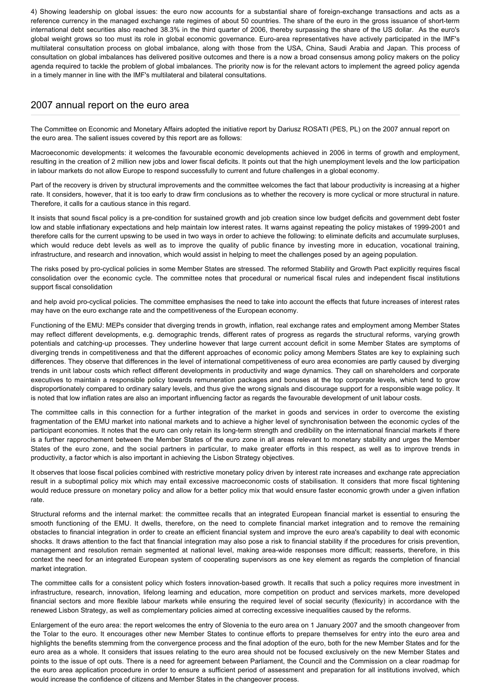4) Showing leadership on global issues: the euro now accounts for a substantial share of foreign-exchange transactions and acts as a reference currency in the managed exchange rate regimes of about 50 countries. The share of the euro in the gross issuance of short-term international debt securities also reached 38.3% in the third quarter of 2006, thereby surpassing the share of the US dollar. As the euro's global weight grows so too must its role in global economic governance. Euro-area representatives have actively participated in the IMF's multilateral consultation process on global imbalance, along with those from the USA, China, Saudi Arabia and Japan. This process of consultation on global imbalances has delivered positive outcomes and there is a now a broad consensus among policy makers on the policy agenda required to tackle the problem of global imbalances. The priority now is for the relevant actors to implement the agreed policy agenda in a timely manner in line with the IMF's multilateral and bilateral consultations.

### 2007 annual report on the euro area

The Committee on Economic and Monetary Affairs adopted the initiative report by Dariusz ROSATI (PES, PL) on the 2007 annual report on the euro area. The salient issues covered by this report are as follows:

Macroeconomic developments: it welcomes the favourable economic developments achieved in 2006 in terms of growth and employment, resulting in the creation of 2 million new jobs and lower fiscal deficits. It points out that the high unemployment levels and the low participation in labour markets do not allow Europe to respond successfully to current and future challenges in a global economy.

Part of the recovery is driven by structural improvements and the committee welcomes the fact that labour productivity is increasing at a higher rate. It considers, however, that it is too early to draw firm conclusions as to whether the recovery is more cyclical or more structural in nature. Therefore, it calls for a cautious stance in this regard.

It insists that sound fiscal policy is a pre-condition for sustained growth and job creation since low budget deficits and government debt foster low and stable inflationary expectations and help maintain low interest rates. It warns against repeating the policy mistakes of 1999-2001 and therefore calls for the current upswing to be used in two ways in order to achieve the following: to eliminate deficits and accumulate surpluses, which would reduce debt levels as well as to improve the quality of public finance by investing more in education, vocational training, infrastructure, and research and innovation, which would assist in helping to meet the challenges posed by an ageing population.

The risks posed by pro-cyclical policies in some Member States are stressed. The reformed Stability and Growth Pact explicitly requires fiscal consolidation over the economic cycle. The committee notes that procedural or numerical fiscal rules and independent fiscal institutions support fiscal consolidation

and help avoid pro-cyclical policies. The committee emphasises the need to take into account the effects that future increases of interest rates may have on the euro exchange rate and the competitiveness of the European economy.

Functioning of the EMU: MEPs consider that diverging trends in growth, inflation, real exchange rates and employment among Member States may reflect different developments, e.g. demographic trends, different rates of progress as regards the structural reforms, varying growth potentials and catching-up processes. They underline however that large current account deficit in some Member States are symptoms of diverging trends in competitiveness and that the different approaches of economic policy among Members States are key to explaining such differences. They observe that differences in the level of international competitiveness of euro area economies are partly caused by diverging trends in unit labour costs which reflect different developments in productivity and wage dynamics. They call on shareholders and corporate executives to maintain a responsible policy towards remuneration packages and bonuses at the top corporate levels, which tend to grow disproportionately compared to ordinary salary levels, and thus give the wrong signals and discourage support for a responsible wage policy. It is noted that low inflation rates are also an important influencing factor as regards the favourable development of unit labour costs.

The committee calls in this connection for a further integration of the market in goods and services in order to overcome the existing fragmentation of the EMU market into national markets and to achieve a higher level of synchronisation between the economic cycles of the participant economies. It notes that the euro can only retain its long-term strength and credibility on the international financial markets if there is a further rapprochement between the Member States of the euro zone in all areas relevant to monetary stability and urges the Member States of the euro zone, and the social partners in particular, to make greater efforts in this respect, as well as to improve trends in productivity, a factor which is also important in achieving the Lisbon Strategy objectives.

It observes that loose fiscal policies combined with restrictive monetary policy driven by interest rate increases and exchange rate appreciation result in a suboptimal policy mix which may entail excessive macroeconomic costs of stabilisation. It considers that more fiscal tightening would reduce pressure on monetary policy and allow for a better policy mix that would ensure faster economic growth under a given inflation rate.

Structural reforms and the internal market: the committee recalls that an integrated European financial market is essential to ensuring the smooth functioning of the EMU. It dwells, therefore, on the need to complete financial market integration and to remove the remaining obstacles to financial integration in order to create an efficient financial system and improve the euro area's capability to deal with economic shocks. It draws attention to the fact that financial integration may also pose a risk to financial stability if the procedures for crisis prevention, management and resolution remain segmented at national level, making area-wide responses more difficult; reasserts, therefore, in this context the need for an integrated European system of cooperating supervisors as one key element as regards the completion of financial market integration.

The committee calls for a consistent policy which fosters innovation-based growth. It recalls that such a policy requires more investment in infrastructure, research, innovation, lifelong learning and education, more competition on product and services markets, more developed financial sectors and more flexible labour markets while ensuring the required level of social security (flexicurity) in accordance with the renewed Lisbon Strategy, as well as complementary policies aimed at correcting excessive inequalities caused by the reforms.

Enlargement of the euro area: the report welcomes the entry of Slovenia to the euro area on 1 January 2007 and the smooth changeover from the Tolar to the euro. It encourages other new Member States to continue efforts to prepare themselves for entry into the euro area and highlights the benefits stemming from the convergence process and the final adoption of the euro, both for the new Member States and for the euro area as a whole. It considers that issues relating to the euro area should not be focused exclusively on the new Member States and points to the issue of opt outs. There is a need for agreement between Parliament, the Council and the Commission on a clear roadmap for the euro area application procedure in order to ensure a sufficient period of assessment and preparation for all institutions involved, which would increase the confidence of citizens and Member States in the changeover process.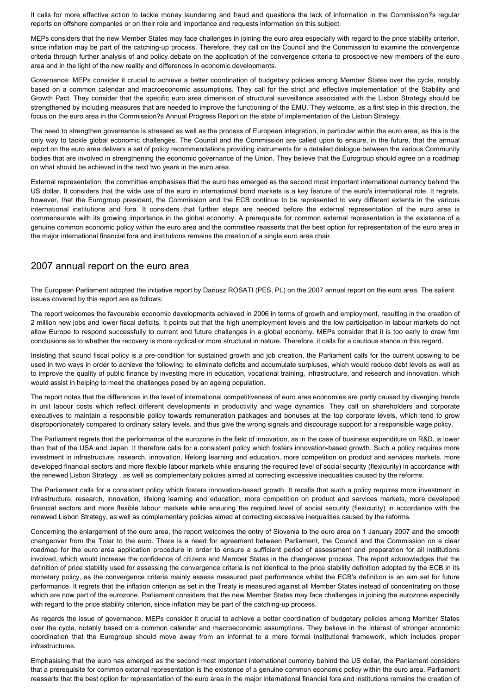It calls for more effective action to tackle money laundering and fraud and questions the lack of information in the Commission?s regular reports on offshore companies or on their role and importance and requests information on this subject.

MEPs considers that the new Member States may face challenges in joining the euro area especially with regard to the price stability criterion, since inflation may be part of the catching-up process. Therefore, they call on the Council and the Commission to examine the convergence criteria through further analysis of and policy debate on the application of the convergence criteria to prospective new members of the euro area and in the light of the new reality and differences in economic developments.

Governance: MEPs consider it crucial to achieve a better coordination of budgetary policies among Member States over the cycle, notably based on a common calendar and macroeconomic assumptions. They call for the strict and effective implementation of the Stability and Growth Pact. They consider that the specific euro area dimension of structural surveillance associated with the Lisbon Strategy should be strengthened by including measures that are needed to improve the functioning of the EMU. They welcome, as a first step in this direction, the focus on the euro area in the Commission?s Annual Progress Report on the state of implementation of the Lisbon Strategy.

The need to strengthen governance is stressed as well as the process of European integration, in particular within the euro area, as this is the only way to tackle global economic challenges. The Council and the Commission are called upon to ensure, in the future, that the annual report on the euro area delivers a set of policy recommendations providing instruments for a detailed dialogue between the various Community bodies that are involved in strengthening the economic governance of the Union. They believe that the Eurogroup should agree on a roadmap on what should be achieved in the next two years in the euro area.

External representation: the committee emphasises that the euro has emerged as the second most important international currency behind the US dollar. It considers that the wide use of the euro in international bond markets is a key feature of the euro's international role. It regrets, however, that the Eurogroup president, the Commission and the ECB continue to be represented to very different extents in the various international institutions and fora. It considers that further steps are needed before the external representation of the euro area is commensurate with its growing importance in the global economy. A prerequisite for common external representation is the existence of a genuine common economic policy within the euro area and the committee reasserts that the best option for representation of the euro area in the major international financial fora and institutions remains the creation of a single euro area chair.

#### 2007 annual report on the euro area

The European Parliament adopted the initiative report by Dariusz ROSATI (PES, PL) on the 2007 annual report on the euro area. The salient issues covered by this report are as follows:

The report welcomes the favourable economic developments achieved in 2006 in terms of growth and employment, resulting in the creation of 2 million new jobs and lower fiscal deficits. It points out that the high unemployment levels and the low participation in labour markets do not allow Europe to respond successfully to current and future challenges in a global economy. MEPs consider that it is too early to draw firm conclusions as to whether the recovery is more cyclical or more structural in nature. Therefore, it calls for a cautious stance in this regard.

Insisting that sound fiscal policy is a pre-condition for sustained growth and job creation, the Parliament calls for the current upswing to be used in two ways in order to achieve the following: to eliminate deficits and accumulate surpluses, which would reduce debt levels as well as to improve the quality of public finance by investing more in education, vocational training, infrastructure, and research and innovation, which would assist in helping to meet the challenges posed by an ageing population.

The report notes that the differences in the level of international competitiveness of euro area economies are partly caused by diverging trends in unit labour costs which reflect different developments in productivity and wage dynamics. They call on shareholders and corporate executives to maintain a responsible policy towards remuneration packages and bonuses at the top corporate levels, which tend to grow disproportionately compared to ordinary salary levels, and thus give the wrong signals and discourage support for a responsible wage policy.

The Parliament regrets that the performance of the eurozone in the field of innovation, as in the case of business expenditure on R&D, is lower than that of the USA and Japan. It therefore calls for a consistent policy which fosters innovation-based growth. Such a policy requires more investment in infrastructure, research, innovation, lifelong learning and education, more competition on product and services markets, more developed financial sectors and more flexible labour markets while ensuring the required level of social security (flexicurity) in accordance with the renewed Lisbon Strategy , as well as complementary policies aimed at correcting excessive inequalities caused by the reforms.

The Parliament calls for a consistent policy which fosters innovation-based growth. It recalls that such a policy requires more investment in infrastructure, research, innovation, lifelong learning and education, more competition on product and services markets, more developed financial sectors and more flexible labour markets while ensuring the required level of social security (flexicurity) in accordance with the renewed Lisbon Strategy, as well as complementary policies aimed at correcting excessive inequalities caused by the reforms.

Concerning the enlargement of the euro area, the report welcomes the entry of Slovenia to the euro area on 1 January 2007 and the smooth changeover from the Tolar to the euro. There is a need for agreement between Parliament, the Council and the Commission on a clear roadmap for the euro area application procedure in order to ensure a sufficient period of assessment and preparation for all institutions involved, which would increase the confidence of citizens and Member States in the changeover process. The report acknowledges that the definition of price stability used for assessing the convergence criteria is not identical to the price stability definition adopted by the ECB in its monetary policy, as the convergence criteria mainly assess measured past performance whilst the ECB's definition is an aim set for future performance. It regrets that the inflation criterion as set in the Treaty is measured against all Member States instead of concentrating on those which are now part of the eurozone. Parliament considers that the new Member States may face challenges in joining the eurozone especially with regard to the price stability criterion, since inflation may be part of the catching-up process.

As regards the issue of governance, MEPs consider it crucial to achieve a better coordination of budgetary policies among Member States over the cycle, notably based on a common calendar and macroeconomic assumptions. They believe in the interest of stronger economic coordination that the Eurogroup should move away from an informal to a more formal institutional framework, which includes proper **infrastructures** 

Emphasising that the euro has emerged as the second most important international currency behind the US dollar, the Parliament considers that a prerequisite for common external representation is the existence of a genuine common economic policy within the euro area. Parliament reasserts that the best option for representation of the euro area in the major international financial fora and institutions remains the creation of